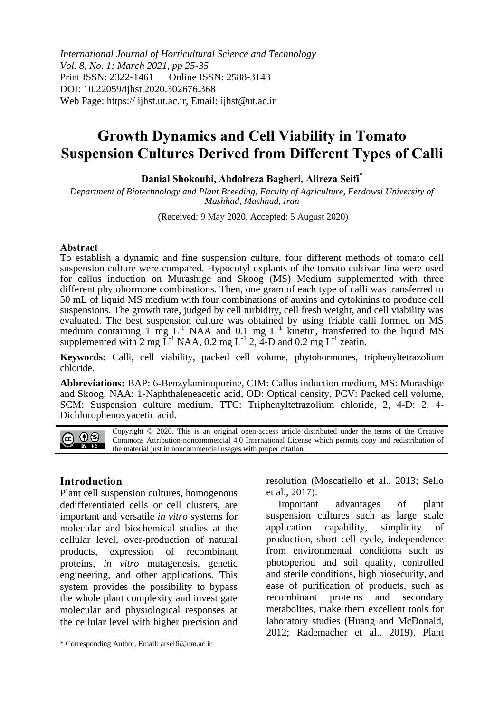*International Journal of Horticultural Science and Technology Vol. 8, No. 1; March 2021, pp 25-35* Print ISSN: 2322-1461 Online ISSN: 2588-3143 DOI: 10.22059/ijhst.2020.302676.368 Web Page: https:// ijhst.ut.ac.ir, Email: ijhst@ut.ac.ir

# **Growth Dynamics and Cell Viability in Tomato Suspension Cultures Derived from Different Types of Calli**

**Danial Shokouhi, Abdolreza Bagheri, Alireza Seifi\***

*Department of Biotechnology and Plant Breeding, Faculty of Agriculture, Ferdowsi University of Mashhad, Mashhad, Iran*

(Received: 9 May 2020, Accepted: 5 August 2020)

#### **Abstract**

To establish a dynamic and fine suspension culture, four different methods of tomato cell suspension culture were compared. Hypocotyl explants of the tomato cultivar Jina were used for callus induction on Murashige and Skoog (MS) Medium supplemented with three different phytohormone combinations. Then, one gram of each type of calli was transferred to 50 mL of liquid MS medium with four combinations of auxins and cytokinins to produce cell suspensions. The growth rate, judged by cell turbidity, cell fresh weight, and cell viability was evaluated. The best suspension culture was obtained by using friable calli formed on MS medium containing 1 mg  $L^{-1}$  NAA and 0.1 mg  $L^{-1}$  kinetin, transferred to the liquid MS supplemented with 2 mg  $\mathbf{L}^{-1}$  NAA, 0.2 mg  $\mathbf{L}^{-1}$  2, 4-D and 0.2 mg  $\mathbf{L}^{-1}$  zeatin.

**Keywords:** Calli, cell viability, packed cell volume, phytohormones, triphenyltetrazolium chloride.

**Abbreviations:** BAP: 6-Benzylaminopurine, CIM: Callus induction medium, MS: Murashige and Skoog, NAA: 1-Naphthaleneacetic acid, OD: Optical density, PCV: Packed cell volume, SCM: Suspension culture medium, TTC: Triphenyltetrazolium chloride, 2, 4-D: 2, 4- Dichlorophenoxyacetic acid.

Copyright © 2020, This is an original open-access article distributed under the terms of the Creative @ 0⊗ Commons Attribution-noncommercial 4.0 International License which permits copy and redistribution of BY NC the material just in noncommercial usages with proper citation.

#### **Introduction**

**.** 

Plant cell suspension cultures, homogenous dedifferentiated cells or cell clusters, are important and versatile *in vitro* systems for molecular and biochemical studies at the cellular level, over-production of natural products, expression of recombinant proteins, *in vitro* mutagenesis, genetic engineering, and other applications. This system provides the possibility to bypass the whole plant complexity and investigate molecular and physiological responses at the cellular level with higher precision and

resolution (Moscatiello et al., 2013; Sello et al., 2017).

Important advantages of plant suspension cultures such as large scale application capability, simplicity of production, short cell cycle, independence from environmental conditions such as photoperiod and soil quality, controlled and sterile conditions, high biosecurity, and ease of purification of products, such as recombinant proteins and secondary metabolites, make them excellent tools for laboratory studies (Huang and McDonald, 2012; Rademacher et al., 2019). Plant

<sup>\*</sup> Corresponding Author, Email: arseifi@um.ac.ir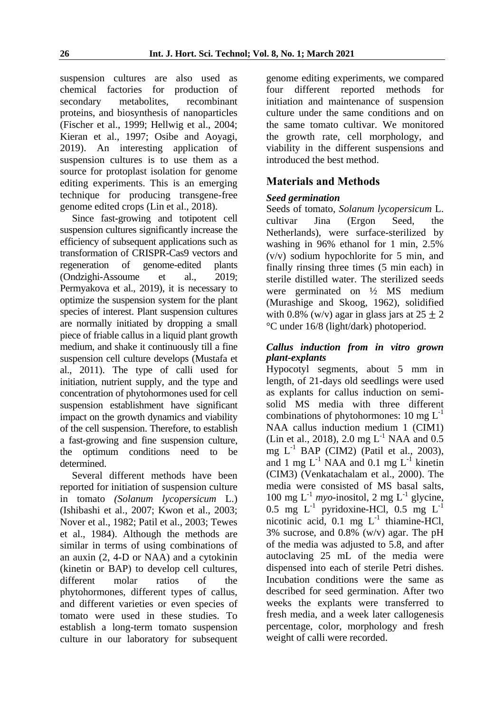suspension cultures are also used as chemical factories for production of secondary metabolites, recombinant proteins, and biosynthesis of nanoparticles (Fischer et al., 1999; Hellwig et al., 2004; Kieran et al., 1997; Osibe and Aoyagi, 2019). An interesting application of suspension cultures is to use them as a source for protoplast isolation for genome editing experiments. This is an emerging technique for producing transgene-free genome edited crops (Lin et al., 2018).

Since fast-growing and totipotent cell suspension cultures significantly increase the efficiency of subsequent applications such as transformation of CRISPR-Cas9 vectors and regeneration of genome-edited plants (Ondzighi-Assoume et al., 2019; Permyakova et al., 2019), it is necessary to optimize the suspension system for the plant species of interest. Plant suspension cultures are normally initiated by dropping a small piece of friable callus in a liquid plant growth medium, and shake it continuously till a fine suspension cell culture develops (Mustafa et al., 2011). The type of calli used for initiation, nutrient supply, and the type and concentration of phytohormones used for cell suspension establishment have significant impact on the growth dynamics and viability of the cell suspension. Therefore, to establish a fast-growing and fine suspension culture, the optimum conditions need to be determined.

Several different methods have been reported for initiation of suspension culture in tomato *(Solanum lycopersicum* L.) (Ishibashi et al., 2007; Kwon et al., 2003; Nover et al., 1982; Patil et al., 2003; Tewes et al., 1984). Although the methods are similar in terms of using combinations of an auxin (2, 4-D or NAA) and a cytokinin (kinetin or BAP) to develop cell cultures, different molar ratios of the phytohormones, different types of callus, and different varieties or even species of tomato were used in these studies. To establish a long-term tomato suspension culture in our laboratory for subsequent genome editing experiments, we compared four different reported methods for initiation and maintenance of suspension culture under the same conditions and on the same tomato cultivar. We monitored the growth rate, cell morphology, and viability in the different suspensions and introduced the best method.

# **Materials and Methods**

# *Seed germination*

Seeds of tomato, *Solanum lycopersicum* L. cultivar Jina (Ergon Seed, the Netherlands), were surface-sterilized by washing in 96% ethanol for 1 min, 2.5% (v/v) sodium hypochlorite for 5 min, and finally rinsing three times (5 min each) in sterile distilled water. The sterilized seeds were germinated on ½ MS medium (Murashige and Skoog, 1962), solidified with 0.8% (w/v) agar in glass jars at  $25 \pm 2$ °C under 16/8 (light/dark) photoperiod.

## *Callus induction from in vitro grown plant-explants*

Hypocotyl segments, about 5 mm in length, of 21-days old seedlings were used as explants for callus induction on semisolid MS media with three different combinations of phytohormones:  $10 \text{ mg } L^{-1}$ NAA callus induction medium 1 (CIM1) (Lin et al., 2018), 2.0 mg  $L^{-1}$  NAA and 0.5 mg  $L^{-1}$  BAP (CIM2) (Patil et al., 2003), and 1 mg  $L^{-1}$  NAA and 0.1 mg  $L^{-1}$  kinetin (CIM3) (Venkatachalam et al., 2000). The media were consisted of MS basal salts, 100 mg  $L^{-1}$  *myo*-inositol, 2 mg  $L^{-1}$  glycine, 0.5 mg  $L^{-1}$  pyridoxine-HCl, 0.5 mg  $L^{-1}$ nicotinic acid,  $0.1$  mg  $L^{-1}$  thiamine-HCl, 3% sucrose, and 0.8% (w/v) agar. The pH of the media was adjusted to 5.8, and after autoclaving 25 mL of the media were dispensed into each of sterile Petri dishes. Incubation conditions were the same as described for seed germination. After two weeks the explants were transferred to fresh media, and a week later callogenesis percentage, color, morphology and fresh weight of calli were recorded.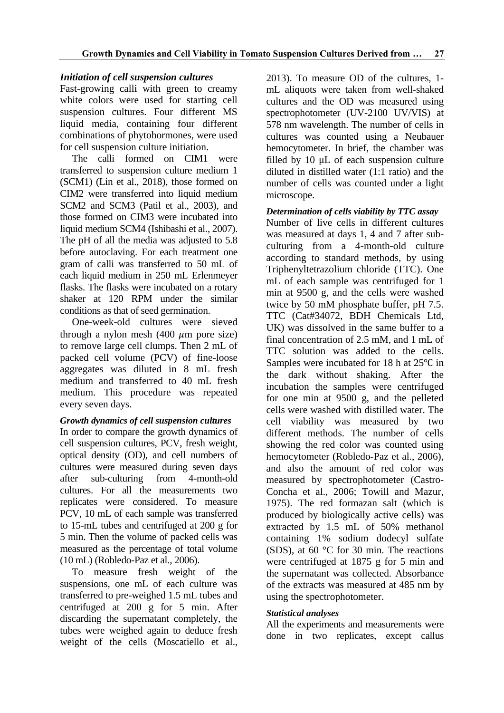# *Initiation of cell suspension cultures*

Fast-growing calli with green to creamy white colors were used for starting cell suspension cultures. Four different MS liquid media, containing four different combinations of phytohormones, were used for cell suspension culture initiation.

The calli formed on CIM1 were transferred to suspension culture medium 1 (SCM1) (Lin et al., 2018), those formed on CIM2 were transferred into liquid medium SCM2 and SCM3 (Patil et al., 2003), and those formed on CIM3 were incubated into liquid medium SCM4 (Ishibashi et al., 2007). The pH of all the media was adjusted to 5.8 before autoclaving. For each treatment one gram of calli was transferred to 50 mL of each liquid medium in 250 mL Erlenmeyer flasks. The flasks were incubated on a rotary shaker at 120 RPM under the similar conditions as that of seed germination.

One-week-old cultures were sieved through a nylon mesh  $(400 \mu m)$  pore size) to remove large cell clumps. Then 2 mL of packed cell volume (PCV) of fine-loose aggregates was diluted in 8 mL fresh medium and transferred to 40 mL fresh medium. This procedure was repeated every seven days.

#### *Growth dynamics of cell suspension cultures*

In order to compare the growth dynamics of cell suspension cultures, PCV, fresh weight, optical density (OD), and cell numbers of cultures were measured during seven days after sub-culturing from 4-month-old cultures. For all the measurements two replicates were considered. To measure PCV, 10 mL of each sample was transferred to 15-mL tubes and centrifuged at 200 g for 5 min. Then the volume of packed cells was measured as the percentage of total volume (10 mL) (Robledo-Paz et al., 2006).

To measure fresh weight of the suspensions, one mL of each culture was transferred to pre-weighed 1.5 mL tubes and centrifuged at 200 g for 5 min. After discarding the supernatant completely, the tubes were weighed again to deduce fresh weight of the cells (Moscatiello et al.,

2013). To measure OD of the cultures, 1 mL aliquots were taken from well-shaked cultures and the OD was measured using spectrophotometer (UV-2100 UV/VIS) at 578 nm wavelength. The number of cells in cultures was counted using a Neubauer hemocytometer. In brief, the chamber was filled by 10 μL of each suspension culture diluted in distilled water (1:1 ratio) and the number of cells was counted under a light microscope.

## *Determination of cells viability by TTC assay*

Number of live cells in different cultures was measured at days 1, 4 and 7 after subculturing from a 4-month-old culture according to standard methods, by using Triphenyltetrazolium chloride (TTC). One mL of each sample was centrifuged for 1 min at 9500 g, and the cells were washed twice by 50 mM phosphate buffer, pH 7.5. TTC (Cat#34072, BDH Chemicals Ltd, UK) was dissolved in the same buffer to a final concentration of 2.5 mM, and 1 mL of TTC solution was added to the cells. Samples were incubated for 18 h at 25℃ in the dark without shaking. After the incubation the samples were centrifuged for one min at 9500 g, and the pelleted cells were washed with distilled water. The cell viability was measured by two different methods. The number of cells showing the red color was counted using hemocytometer (Robledo-Paz et al., 2006), and also the amount of red color was measured by spectrophotometer (Castro-Concha et al., 2006; Towill and Mazur, 1975). The red formazan salt (which is produced by biologically active cells) was extracted by 1.5 mL of 50% methanol containing 1% sodium dodecyl sulfate (SDS), at 60 **°**C for 30 min. The reactions were centrifuged at 1875 g for 5 min and the supernatant was collected. Absorbance of the extracts was measured at 485 nm by using the spectrophotometer.

#### *Statistical analyses*

All the experiments and measurements were done in two replicates, except callus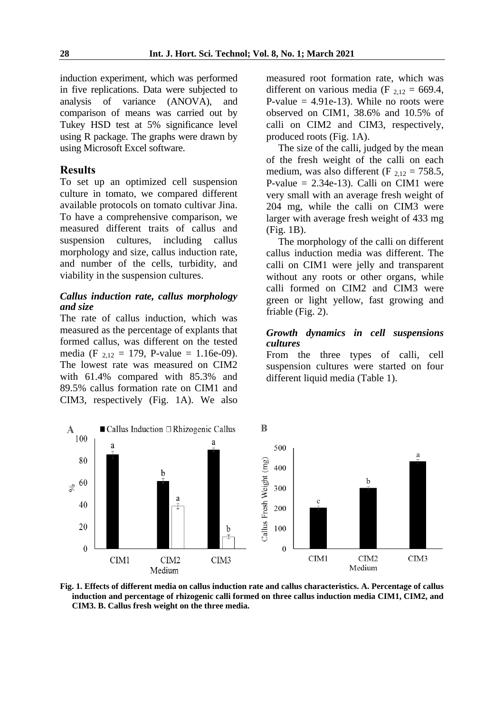induction experiment, which was performed in five replications. Data were subjected to analysis of variance (ANOVA), and comparison of means was carried out by Tukey HSD test at 5% significance level using R package. The graphs were drawn by using Microsoft Excel software.

#### **Results**

To set up an optimized cell suspension culture in tomato, we compared different available protocols on tomato cultivar Jina. To have a comprehensive comparison, we measured different traits of callus and suspension cultures, including callus morphology and size, callus induction rate, and number of the cells, turbidity, and viability in the suspension cultures.

#### *Callus induction rate, callus morphology and size*

The rate of callus induction, which was measured as the percentage of explants that formed callus, was different on the tested media (F  $_{2,12}$  = 179, P-value = 1.16e-09). The lowest rate was measured on CIM2 with 61.4% compared with 85.3% and 89.5% callus formation rate on CIM1 and CIM3, respectively (Fig. 1A). We also measured root formation rate, which was different on various media (F  $_{2,12} = 669.4$ , P-value  $= 4.91e-13$ ). While no roots were observed on CIM1, 38.6% and 10.5% of calli on CIM2 and CIM3, respectively, produced roots (Fig. 1A).

The size of the calli, judged by the mean of the fresh weight of the calli on each medium, was also different (F  $_{2,12}$  = 758.5, P-value  $= 2.34e-13$ ). Calli on CIM1 were very small with an average fresh weight of 204 mg, while the calli on CIM3 were larger with average fresh weight of 433 mg (Fig. 1B).

The morphology of the calli on different callus induction media was different. The calli on CIM1 were jelly and transparent without any roots or other organs, while calli formed on CIM2 and CIM3 were green or light yellow, fast growing and friable (Fig. 2).

#### *Growth dynamics in cell suspensions cultures*

From the three types of calli, cell suspension cultures were started on four different liquid media (Table 1).



**Fig. 1. Effects of different media on callus induction rate and callus characteristics. A. Percentage of callus induction and percentage of rhizogenic calli formed on three callus induction media CIM1, CIM2, and CIM3. B. Callus fresh weight on the three media.**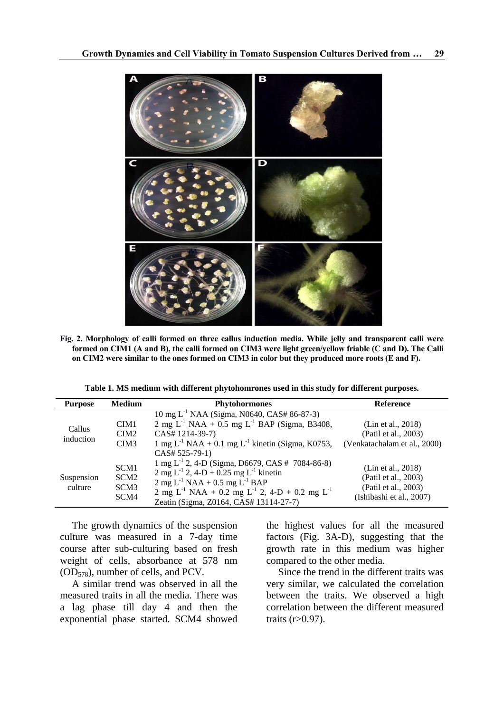

**Fig. 2. Morphology of calli formed on three callus induction media. While jelly and transparent calli were formed on CIM1 (A and B), the calli formed on CIM3 were light green/yellow friable (C and D). The Calli on CIM2 were similar to the ones formed on CIM3 in color but they produced more roots (E and F).** 

|  |  |  |  | Table 1. MS medium with different phytohomrones used in this study for different purposes. |
|--|--|--|--|--------------------------------------------------------------------------------------------|
|--|--|--|--|--------------------------------------------------------------------------------------------|

| <b>Purpose</b>        | <b>Medium</b>                                                                        | <b>Phytohormones</b>                                                                                                                                                                                                                                                                                                                                                                    | <b>Reference</b>                                                                                                               |
|-----------------------|--------------------------------------------------------------------------------------|-----------------------------------------------------------------------------------------------------------------------------------------------------------------------------------------------------------------------------------------------------------------------------------------------------------------------------------------------------------------------------------------|--------------------------------------------------------------------------------------------------------------------------------|
| Callus<br>induction   | CIM1<br>CIM2                                                                         | 10 mg L <sup>-1</sup> NAA (Sigma, N0640, CAS# 86-87-3)<br>2 mg $L^{-1}$ NAA + 0.5 mg $L^{-1}$ BAP (Sigma, B3408,<br>CAS# 1214-39-7)                                                                                                                                                                                                                                                     | (Lin et al., 2018)<br>(Patil et al., 2003)                                                                                     |
| Suspension<br>culture | CIM <sub>3</sub><br>SCM <sub>1</sub><br>SCM <sub>2</sub><br>SCM <sub>3</sub><br>SCM4 | 1 mg $L^{-1}$ NAA + 0.1 mg $L^{-1}$ kinetin (Sigma, K0753,<br>$CAS# 525-79-1$<br>1 mg L <sup>-1</sup> 2, 4-D (Sigma, D6679, CAS # 7084-86-8)<br>2 mg L <sup>-1</sup> 2, 4-D + 0.25 mg L <sup>-1</sup> kinetin<br>2 mg $L^{-1}$ NAA + 0.5 mg $L^{-1}$ BAP<br>2 mg L <sup>-1</sup> NAA + 0.2 mg L <sup>-1</sup> 2, 4-D + 0.2 mg L <sup>-1</sup><br>Zeatin (Sigma, Z0164, CAS# 13114-27-7) | (Venkatachalam et al., 2000)<br>(Lin et al., 2018)<br>(Patil et al., 2003)<br>(Patil et al., 2003)<br>(Ishibashi et al., 2007) |

The growth dynamics of the suspension culture was measured in a 7-day time course after sub-culturing based on fresh weight of cells, absorbance at 578 nm (OD578), number of cells, and PCV.

A similar trend was observed in all the measured traits in all the media. There was a lag phase till day 4 and then the exponential phase started. SCM4 showed the highest values for all the measured factors (Fig. 3A-D), suggesting that the growth rate in this medium was higher compared to the other media.

Since the trend in the different traits was very similar, we calculated the correlation between the traits. We observed a high correlation between the different measured traits (r>0.97).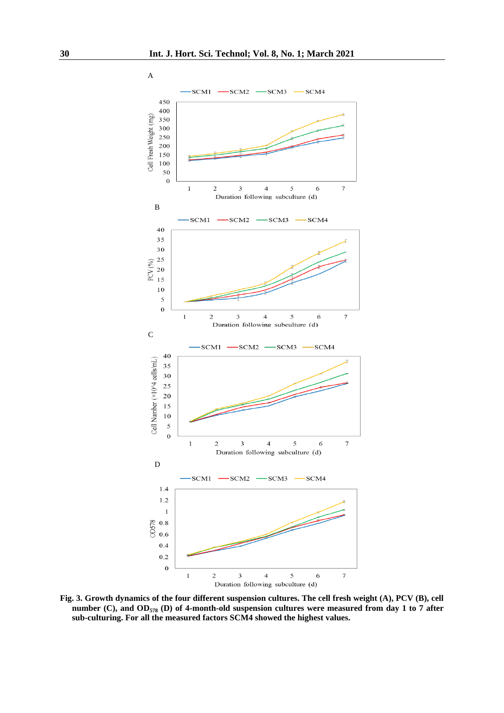

**Fig. 3. Growth dynamics of the four different suspension cultures. The cell fresh weight (A), PCV (B), cell number (C), and OD<sup>578</sup> (D) of 4-month-old suspension cultures were measured from day 1 to 7 after sub-culturing. For all the measured factors SCM4 showed the highest values.**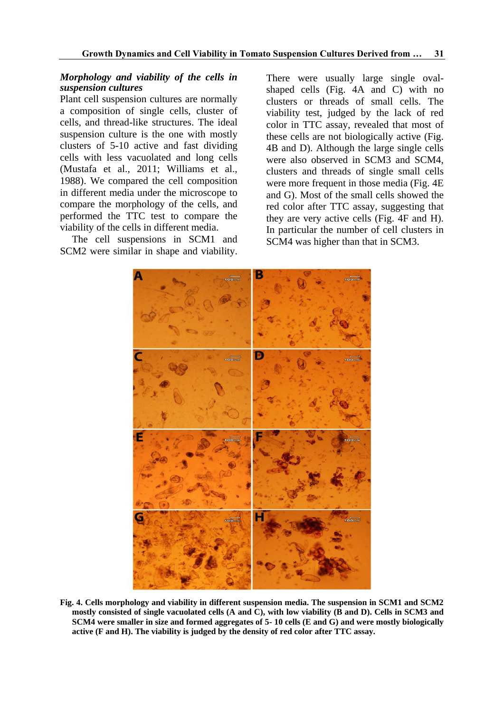#### *Morphology and viability of the cells in suspension cultures*

Plant cell suspension cultures are normally a composition of single cells, cluster of cells, and thread-like structures. The ideal suspension culture is the one with mostly clusters of 5-10 active and fast dividing cells with less vacuolated and long cells (Mustafa et al., 2011; Williams et al., 1988). We compared the cell composition in different media under the microscope to compare the morphology of the cells, and performed the TTC test to compare the viability of the cells in different media.

The cell suspensions in SCM1 and SCM2 were similar in shape and viability. There were usually large single ovalshaped cells (Fig. 4A and C) with no clusters or threads of small cells. The viability test, judged by the lack of red color in TTC assay, revealed that most of these cells are not biologically active (Fig. 4B and D). Although the large single cells were also observed in SCM3 and SCM4, clusters and threads of single small cells were more frequent in those media (Fig. 4E and G). Most of the small cells showed the red color after TTC assay, suggesting that they are very active cells (Fig. 4F and H). In particular the number of cell clusters in SCM4 was higher than that in SCM3.



**Fig. 4. Cells morphology and viability in different suspension media. The suspension in SCM1 and SCM2 mostly consisted of single vacuolated cells (A and C), with low viability (B and D). Cells in SCM3 and SCM4 were smaller in size and formed aggregates of 5- 10 cells (E and G) and were mostly biologically active (F and H). The viability is judged by the density of red color after TTC assay.**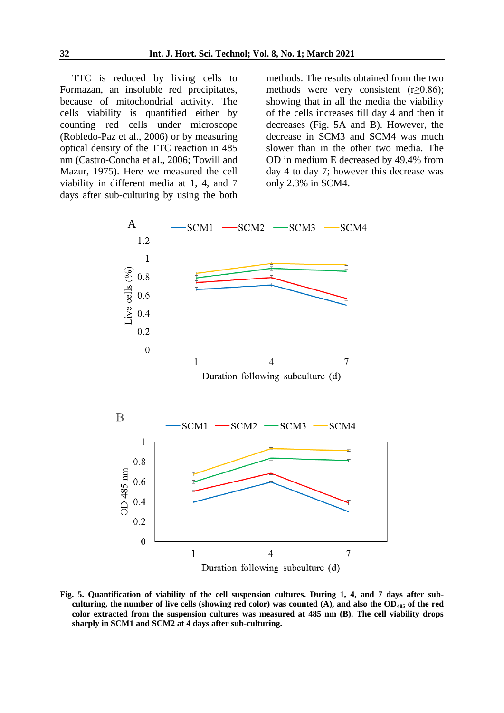TTC is reduced by living cells to Formazan, an insoluble red precipitates, because of mitochondrial activity. The cells viability is quantified either by counting red cells under microscope (Robledo-Paz et al., 2006) or by measuring optical density of the TTC reaction in 485 nm (Castro-Concha et al., 2006; Towill and Mazur, 1975). Here we measured the cell viability in different media at 1, 4, and 7 days after sub-culturing by using the both

methods. The results obtained from the two methods were very consistent  $(r\geq 0.86)$ ; showing that in all the media the viability of the cells increases till day 4 and then it decreases (Fig. 5A and B). However, the decrease in SCM3 and SCM4 was much slower than in the other two media. The OD in medium E decreased by 49.4% from day 4 to day 7; however this decrease was only 2.3% in SCM4.



**Fig. 5. Quantification of viability of the cell suspension cultures. During 1, 4, and 7 days after subculturing, the number of live cells (showing red color) was counted (A), and also the OD<sup>485</sup> of the red color extracted from the suspension cultures was measured at 485 nm (B). The cell viability drops sharply in SCM1 and SCM2 at 4 days after sub-culturing.**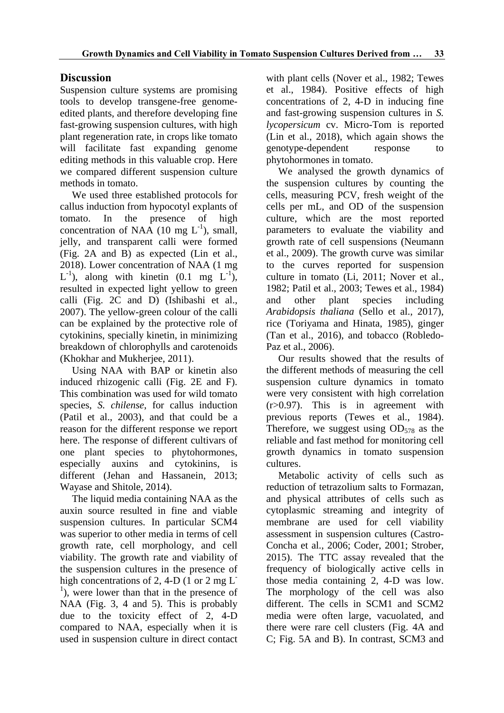# **Discussion**

Suspension culture systems are promising tools to develop transgene-free genomeedited plants, and therefore developing fine fast-growing suspension cultures, with high plant regeneration rate, in crops like tomato will facilitate fast expanding genome editing methods in this valuable crop. Here we compared different suspension culture methods in tomato.

We used three established protocols for callus induction from hypocotyl explants of tomato. In the presence of high concentration of NAA  $(10 \text{ mg } L^{-1})$ , small, jelly, and transparent calli were formed (Fig. 2A and B) as expected (Lin et al., 2018). Lower concentration of NAA (1 mg  $L^{-1}$ ), along with kinetin (0.1 mg  $L^{-1}$ ), resulted in expected light yellow to green calli (Fig. 2C and D) (Ishibashi et al., 2007). The yellow-green colour of the calli can be explained by the protective role of cytokinins, specially kinetin, in minimizing breakdown of chlorophylls and carotenoids (Khokhar and Mukherjee, 2011).

Using NAA with BAP or kinetin also induced rhizogenic calli (Fig. 2E and F). This combination was used for wild tomato species, *S. chilense*, for callus induction (Patil et al., 2003), and that could be a reason for the different response we report here. The response of different cultivars of one plant species to phytohormones, especially auxins and cytokinins, is different (Jehan and Hassanein, 2013; Wayase and Shitole, 2014).

The liquid media containing NAA as the auxin source resulted in fine and viable suspension cultures. In particular SCM4 was superior to other media in terms of cell growth rate, cell morphology, and cell viability. The growth rate and viability of the suspension cultures in the presence of high concentrations of 2, 4-D (1 or 2 mg L<sup>-</sup>  $\frac{1}{1}$ ), were lower than that in the presence of NAA (Fig. 3, 4 and 5). This is probably due to the toxicity effect of 2, 4-D compared to NAA, especially when it is used in suspension culture in direct contact

with plant cells (Nover et al., 1982; Tewes et al., 1984). Positive effects of high concentrations of 2, 4-D in inducing fine and fast-growing suspension cultures in *S. lycopersicum* cv. Micro-Tom is reported (Lin et al., 2018), which again shows the genotype-dependent response to phytohormones in tomato.

We analysed the growth dynamics of the suspension cultures by counting the cells, measuring PCV, fresh weight of the cells per mL, and OD of the suspension culture, which are the most reported parameters to evaluate the viability and growth rate of cell suspensions (Neumann et al., 2009). The growth curve was similar to the curves reported for suspension culture in tomato (Li, 2011; Nover et al., 1982; Patil et al., 2003; Tewes et al., 1984) and other plant species including *Arabidopsis thaliana* (Sello et al., 2017), rice (Toriyama and Hinata, 1985), ginger (Tan et al., 2016), and tobacco (Robledo-Paz et al., 2006).

Our results showed that the results of the different methods of measuring the cell suspension culture dynamics in tomato were very consistent with high correlation (r>0.97). This is in agreement with previous reports (Tewes et al., 1984). Therefore, we suggest using  $OD_{578}$  as the reliable and fast method for monitoring cell growth dynamics in tomato suspension cultures.

Metabolic activity of cells such as reduction of tetrazolium salts to Formazan, and physical attributes of cells such as cytoplasmic streaming and integrity of membrane are used for cell viability assessment in suspension cultures (Castro-Concha et al., 2006; Coder, 2001; Strober, 2015). The TTC assay revealed that the frequency of biologically active cells in those media containing 2, 4-D was low. The morphology of the cell was also different. The cells in SCM1 and SCM2 media were often large, vacuolated, and there were rare cell clusters (Fig. 4A and C; Fig. 5A and B). In contrast, SCM3 and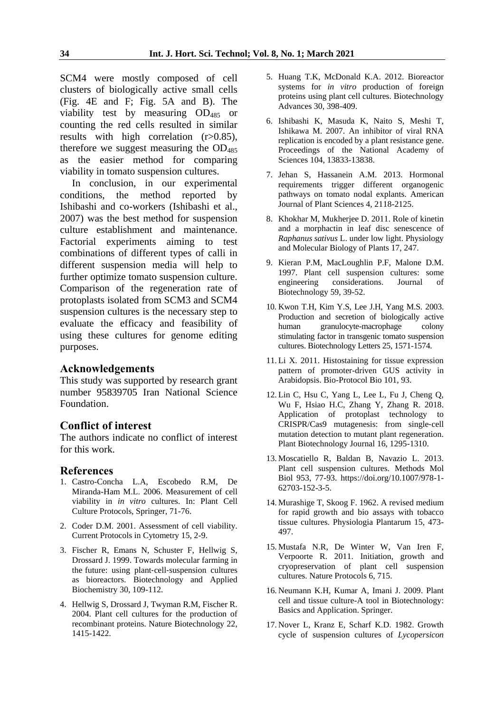SCM4 were mostly composed of cell clusters of biologically active small cells (Fig. 4E and F; Fig. 5A and B). The viability test by measuring OD<sup>485</sup> or counting the red cells resulted in similar results with high correlation  $(r>0.85)$ , therefore we suggest measuring the OD<sub>485</sub> as the easier method for comparing viability in tomato suspension cultures.

In conclusion, in our experimental conditions, the method reported by Ishibashi and co-workers (Ishibashi et al., 2007) was the best method for suspension culture establishment and maintenance. Factorial experiments aiming to test combinations of different types of calli in different suspension media will help to further optimize tomato suspension culture. Comparison of the regeneration rate of protoplasts isolated from SCM3 and SCM4 suspension cultures is the necessary step to evaluate the efficacy and feasibility of using these cultures for genome editing purposes.

#### **Acknowledgements**

This study was supported by research grant number 95839705 Iran National Science Foundation.

#### **Conflict of interest**

The authors indicate no conflict of interest for this work.

#### **References**

- 1. Castro-Concha L.A, Escobedo R.M, De Miranda-Ham M.L. 2006. Measurement of cell viability in *in vitro* cultures. In: Plant Cell Culture Protocols, Springer, 71-76.
- 2. Coder D.M. 2001. Assessment of cell viability. Current Protocols in Cytometry 15, 2-9.
- 3. Fischer R, Emans N, Schuster F, Hellwig S, Drossard J. 1999. Towards molecular farming in the future: using plant‐cell‐suspension cultures as bioreactors. Biotechnology and Applied Biochemistry 30, 109-112.
- 4. Hellwig S, Drossard J, Twyman R.M, Fischer R. 2004. Plant cell cultures for the production of recombinant proteins. Nature Biotechnology 22, 1415-1422.
- 5. Huang T.K, McDonald K.A. 2012. Bioreactor systems for *in vitro* production of foreign proteins using plant cell cultures. Biotechnology Advances 30, 398-409.
- 6. Ishibashi K, Masuda K, Naito S, Meshi T, Ishikawa M. 2007. An inhibitor of viral RNA replication is encoded by a plant resistance gene. Proceedings of the National Academy of Sciences 104, 13833-13838.
- 7. Jehan S, Hassanein A.M. 2013. Hormonal requirements trigger different organogenic pathways on tomato nodal explants. American Journal of Plant Sciences 4, 2118-2125.
- 8. Khokhar M, Mukherjee D. 2011. Role of kinetin and a morphactin in leaf disc senescence of *Raphanus sativus* L. under low light. Physiology and Molecular Biology of Plants 17, 247.
- 9. Kieran P.M, MacLoughlin P.F, Malone D.M. 1997. Plant cell suspension cultures: some engineering considerations. Journal of Biotechnology 59, 39-52.
- 10. Kwon T.H, Kim Y.S, Lee J.H, Yang M.S. 2003. Production and secretion of biologically active human granulocyte-macrophage colony stimulating factor in transgenic tomato suspension cultures. Biotechnology Letters 25, 1571-1574.
- 11. Li X. 2011. Histostaining for tissue expression pattern of promoter-driven GUS activity in Arabidopsis. Bio-Protocol Bio 101, 93.
- 12. Lin C, Hsu C, Yang L, Lee L, Fu J, Cheng Q, Wu F, Hsiao H.C, Zhang Y, Zhang R. 2018. Application of protoplast technology to CRISPR/Cas9 mutagenesis: from single‐cell mutation detection to mutant plant regeneration. Plant Biotechnology Journal 16, 1295-1310.
- 13. Moscatiello R, Baldan B, Navazio L. 2013. Plant cell suspension cultures. Methods Mol Biol 953, 77-93. https://doi.org/10.1007/978-1- 62703-152-3-5.
- 14. Murashige T, Skoog F. 1962. A revised medium for rapid growth and bio assays with tobacco tissue cultures. Physiologia Plantarum 15, 473- 497.
- 15. Mustafa N.R, De Winter W, Van Iren F, Verpoorte R. 2011. Initiation, growth and cryopreservation of plant cell suspension cultures. Nature Protocols 6, 715.
- 16. Neumann K.H, Kumar A, Imani J. 2009. Plant cell and tissue culture-A tool in Biotechnology: Basics and Application. Springer.
- 17. Nover L, Kranz E, Scharf K.D. 1982. Growth cycle of suspension cultures of *Lycopersicon*